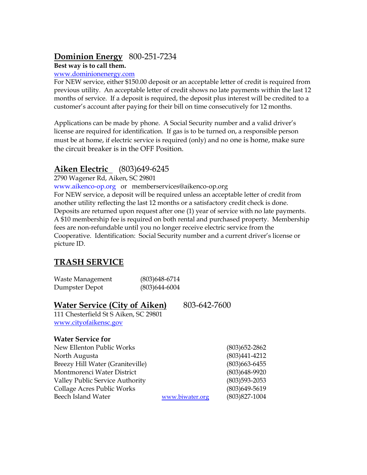## **Dominion Energy** 800-251-7234

#### **Best way is to call them.**

#### [www.dominionenergy.com](http://www.dominionenergy.com/)

For NEW service, either \$150.00 deposit or an acceptable letter of credit is required from previous utility. An acceptable letter of credit shows no late payments within the last 12 months of service. If a deposit is required, the deposit plus interest will be credited to a customer's account after paying for their bill on time consecutively for 12 months.

Applications can be made by phone. A Social Security number and a valid driver's license are required for identification. If gas is to be turned on, a responsible person must be at home, if electric service is required (only) and no one is home, make sure the circuit breaker is in the OFF Position.

## **Aiken Electric** (803)649-6245

2790 Wagener Rd, Aiken, SC 29801

[www.aikenco-op.org](http://www.aikenco-op.org/) or memberservices@aikenco-op.org

For NEW service, a deposit will be required unless an acceptable letter of credit from another utility reflecting the last 12 months or a satisfactory credit check is done. Deposits are returned upon request after one (1) year of service with no late payments. A \$10 membership fee is required on both rental and purchased property. Membership fees are non-refundable until you no longer receive electric service from the Cooperative. Identification: Social Security number and a current driver's license or picture ID.

# **TRASH SERVICE**

| Waste Management | $(803)$ 648-6714 |
|------------------|------------------|
| Dumpster Depot   | $(803)$ 644-6004 |

## **Water Service (City of Aiken)** 803-642-7600

111 Chesterfield St S Aiken, SC 29801 [www.cityofaikensc.gov](http://www.cityofaikensc.gov/)

### **Water Service for**

| New Ellenton Public Works              |                 | $(803)$ 652-2862  |
|----------------------------------------|-----------------|-------------------|
| North Augusta                          |                 | $(803)441-4212$   |
| Breezy Hill Water (Graniteville)       |                 | $(803)$ 663-6455  |
| Montmorenci Water District             |                 | $(803)648 - 9920$ |
| <b>Valley Public Service Authority</b> |                 | $(803)593 - 2053$ |
| Collage Acres Public Works             |                 | $(803)649 - 5619$ |
| Beech Island Water                     | www.biwater.org | $(803)827-1004$   |
|                                        |                 |                   |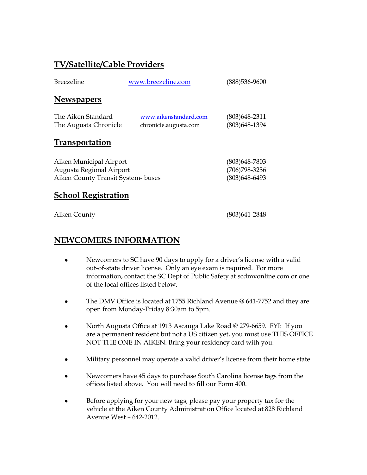## **TV/Satellite/Cable Providers**

| <b>Breezeline</b>                                                                        | www.breezeline.com                             | (888)536-9600                                    |
|------------------------------------------------------------------------------------------|------------------------------------------------|--------------------------------------------------|
| <b>Newspapers</b>                                                                        |                                                |                                                  |
| The Aiken Standard<br>The Augusta Chronicle                                              | www.aikenstandard.com<br>chronicle.augusta.com | (803)648-2311<br>(803) 648-1394                  |
| <b>Transportation</b>                                                                    |                                                |                                                  |
| Aiken Municipal Airport<br>Augusta Regional Airport<br>Aiken County Transit System-buses |                                                | (803)648-7803<br>(706) 798-3236<br>(803)648-6493 |

## **School Registration**

Aiken County (803)641-2848

## **NEWCOMERS INFORMATION**

- Newcomers to SC have 90 days to apply for a driver's license with a valid out-of-state driver license. Only an eye exam is required. For more information, contact the SC Dept of Public Safety at scdmvonline.com or one of the local offices listed below.
- The DMV Office is located at 1755 Richland Avenue @ 641-7752 and they are open from Monday-Friday 8:30am to 5pm.
- North Augusta Office at 1913 Ascauga Lake Road @ 279-6659. FYI: If you are a permanent resident but not a US citizen yet, you must use THIS OFFICE NOT THE ONE IN AIKEN. Bring your residency card with you.
- Military personnel may operate a valid driver's license from their home state.
- Newcomers have 45 days to purchase South Carolina license tags from the offices listed above. You will need to fill our Form 400.
- Before applying for your new tags, please pay your property tax for the vehicle at the Aiken County Administration Office located at 828 Richland Avenue West – 642-2012.